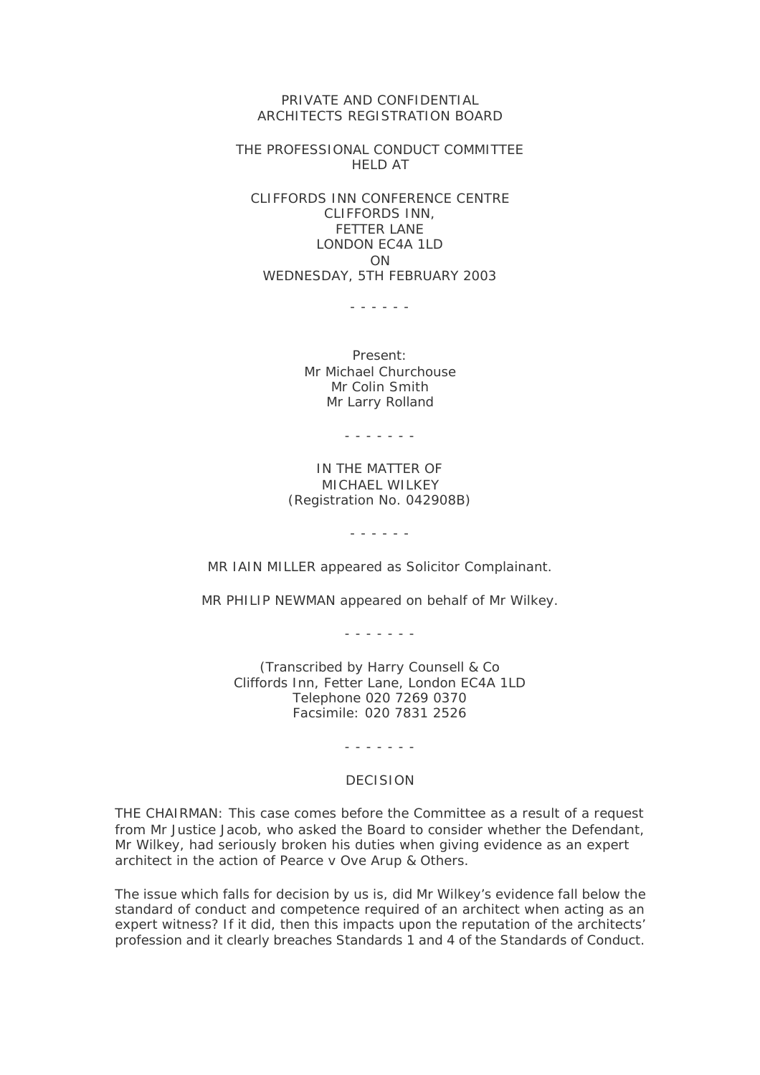PRIVATE AND CONFIDENTIAL ARCHITECTS REGISTRATION BOARD

THE PROFESSIONAL CONDUCT COMMITTEE HELD AT

CLIFFORDS INN CONFERENCE CENTRE CLIFFORDS INN, FETTER LANE LONDON EC4A 1LD ON WEDNESDAY, 5TH FEBRUARY 2003

- - - - - -

Present: Mr Michael Churchouse Mr Colin Smith Mr Larry Rolland

- - - - - - -

## IN THE MATTER OF MICHAEL WILKEY (Registration No. 042908B)

- - - - - -

MR IAIN MILLER appeared as Solicitor Complainant.

MR PHILIP NEWMAN appeared on behalf of Mr Wilkey.

- - - - - - -

(Transcribed by Harry Counsell & Co Cliffords Inn, Fetter Lane, London EC4A 1LD Telephone 020 7269 0370 Facsimile: 020 7831 2526

- - - - - - -

## DECISION

THE CHAIRMAN: This case comes before the Committee as a result of a request from Mr Justice Jacob, who asked the Board to consider whether the Defendant, Mr Wilkey, had seriously broken his duties when giving evidence as an expert architect in the action of Pearce v Ove Arup & Others.

The issue which falls for decision by us is, did Mr Wilkey's evidence fall below the standard of conduct and competence required of an architect when acting as an expert witness? If it did, then this impacts upon the reputation of the architects' profession and it clearly breaches Standards 1 and 4 of the Standards of Conduct.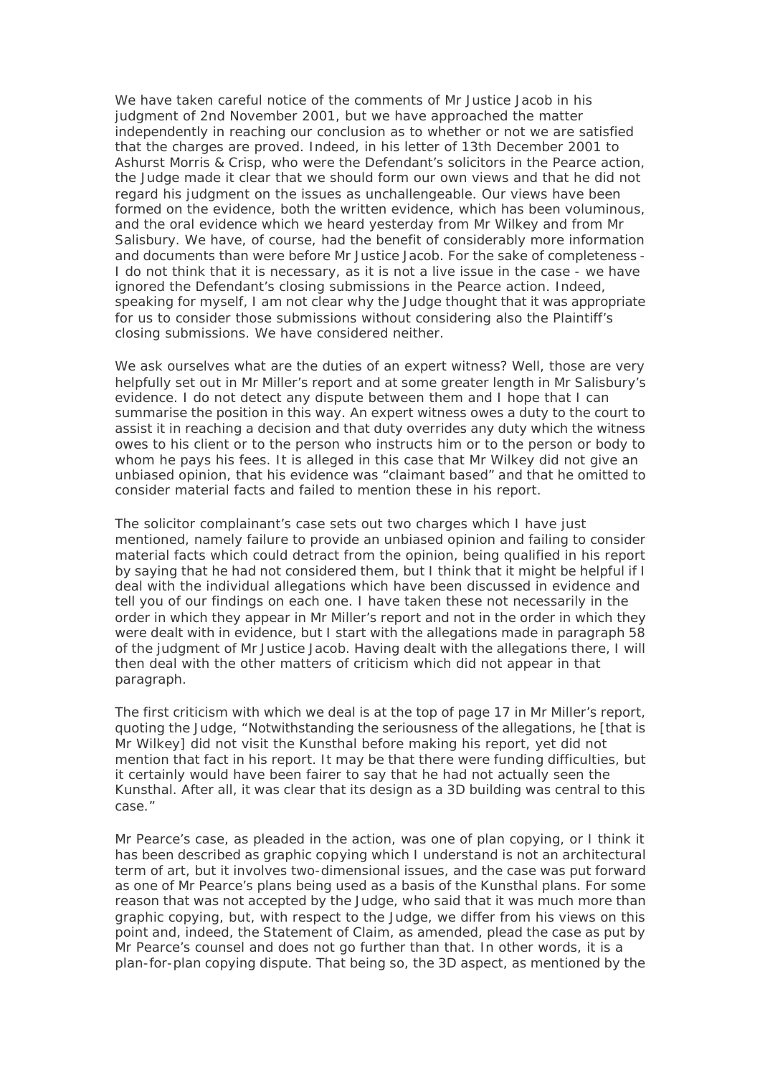We have taken careful notice of the comments of Mr Justice Jacob in his judgment of 2nd November 2001, but we have approached the matter independently in reaching our conclusion as to whether or not we are satisfied that the charges are proved. Indeed, in his letter of 13th December 2001 to Ashurst Morris & Crisp, who were the Defendant's solicitors in the Pearce action, the Judge made it clear that we should form our own views and that he did not regard his judgment on the issues as unchallengeable. Our views have been formed on the evidence, both the written evidence, which has been voluminous, and the oral evidence which we heard yesterday from Mr Wilkey and from Mr Salisbury. We have, of course, had the benefit of considerably more information and documents than were before Mr Justice Jacob. For the sake of completeness - I do not think that it is necessary, as it is not a live issue in the case - we have ignored the Defendant's closing submissions in the Pearce action. Indeed, speaking for myself, I am not clear why the Judge thought that it was appropriate for us to consider those submissions without considering also the Plaintiff's closing submissions. We have considered neither.

We ask ourselves what are the duties of an expert witness? Well, those are very helpfully set out in Mr Miller's report and at some greater length in Mr Salisbury's evidence. I do not detect any dispute between them and I hope that I can summarise the position in this way. An expert witness owes a duty to the court to assist it in reaching a decision and that duty overrides any duty which the witness owes to his client or to the person who instructs him or to the person or body to whom he pays his fees. It is alleged in this case that Mr Wilkey did not give an unbiased opinion, that his evidence was "claimant based" and that he omitted to consider material facts and failed to mention these in his report.

The solicitor complainant's case sets out two charges which I have just mentioned, namely failure to provide an unbiased opinion and failing to consider material facts which could detract from the opinion, being qualified in his report by saying that he had not considered them, but I think that it might be helpful if I deal with the individual allegations which have been discussed in evidence and tell you of our findings on each one. I have taken these not necessarily in the order in which they appear in Mr Miller's report and not in the order in which they were dealt with in evidence, but I start with the allegations made in paragraph 58 of the judgment of Mr Justice Jacob. Having dealt with the allegations there, I will then deal with the other matters of criticism which did not appear in that paragraph.

The first criticism with which we deal is at the top of page 17 in Mr Miller's report, quoting the Judge, "Notwithstanding the seriousness of the allegations, he [that is Mr Wilkey] did not visit the Kunsthal before making his report, yet did not mention that fact in his report. It may be that there were funding difficulties, but it certainly would have been fairer to say that he had not actually seen the Kunsthal. After all, it was clear that its design as a 3D building was central to this case."

Mr Pearce's case, as pleaded in the action, was one of plan copying, or I think it has been described as graphic copying which I understand is not an architectural term of art, but it involves two-dimensional issues, and the case was put forward as one of Mr Pearce's plans being used as a basis of the Kunsthal plans. For some reason that was not accepted by the Judge, who said that it was much more than graphic copying, but, with respect to the Judge, we differ from his views on this point and, indeed, the Statement of Claim, as amended, plead the case as put by Mr Pearce's counsel and does not go further than that. In other words, it is a plan-for-plan copying dispute. That being so, the 3D aspect, as mentioned by the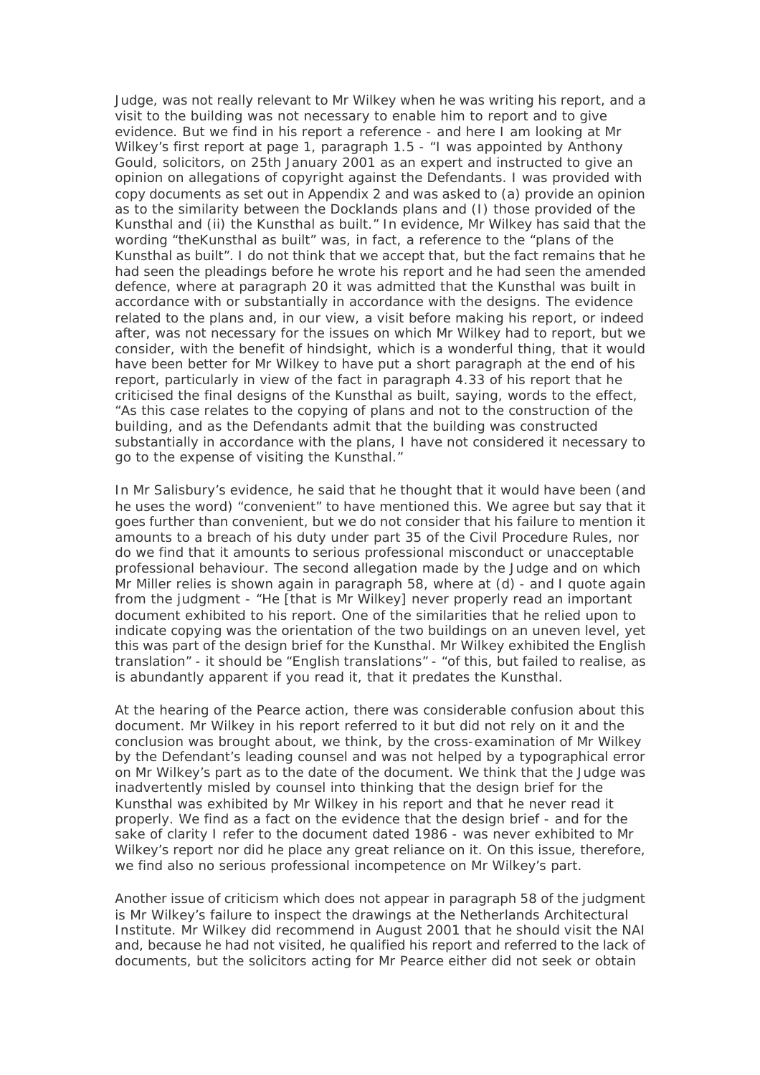Judge, was not really relevant to Mr Wilkey when he was writing his report, and a visit to the building was not necessary to enable him to report and to give evidence. But we find in his report a reference - and here I am looking at Mr Wilkey's first report at page 1, paragraph 1.5 - "I was appointed by Anthony Gould, solicitors, on 25th January 2001 as an expert and instructed to give an opinion on allegations of copyright against the Defendants. I was provided with copy documents as set out in Appendix 2 and was asked to (a) provide an opinion as to the similarity between the Docklands plans and (I) those provided of the Kunsthal and (ii) the Kunsthal as built." In evidence, Mr Wilkey has said that the wording "theKunsthal as built" was, in fact, a reference to the "plans of the Kunsthal as built". I do not think that we accept that, but the fact remains that he had seen the pleadings before he wrote his report and he had seen the amended defence, where at paragraph 20 it was admitted that the Kunsthal was built in accordance with or substantially in accordance with the designs. The evidence related to the plans and, in our view, a visit before making his report, or indeed after, was not necessary for the issues on which Mr Wilkey had to report, but we consider, with the benefit of hindsight, which is a wonderful thing, that it would have been better for Mr Wilkey to have put a short paragraph at the end of his report, particularly in view of the fact in paragraph 4.33 of his report that he criticised the final designs of the Kunsthal as built, saying, words to the effect, "As this case relates to the copying of plans and not to the construction of the building, and as the Defendants admit that the building was constructed substantially in accordance with the plans, I have not considered it necessary to go to the expense of visiting the Kunsthal."

In Mr Salisbury's evidence, he said that he thought that it would have been (and he uses the word) "convenient" to have mentioned this. We agree but say that it goes further than convenient, but we do not consider that his failure to mention it amounts to a breach of his duty under part 35 of the Civil Procedure Rules, nor do we find that it amounts to serious professional misconduct or unacceptable professional behaviour. The second allegation made by the Judge and on which Mr Miller relies is shown again in paragraph 58, where at (d) - and I quote again from the judgment - "He [that is Mr Wilkey] never properly read an important document exhibited to his report. One of the similarities that he relied upon to indicate copying was the orientation of the two buildings on an uneven level, yet this was part of the design brief for the Kunsthal. Mr Wilkey exhibited the English translation" - it should be "English translations" - "of this, but failed to realise, as is abundantly apparent if you read it, that it predates the Kunsthal.

At the hearing of the Pearce action, there was considerable confusion about this document. Mr Wilkey in his report referred to it but did not rely on it and the conclusion was brought about, we think, by the cross-examination of Mr Wilkey by the Defendant's leading counsel and was not helped by a typographical error on Mr Wilkey's part as to the date of the document. We think that the Judge was inadvertently misled by counsel into thinking that the design brief for the Kunsthal was exhibited by Mr Wilkey in his report and that he never read it properly. We find as a fact on the evidence that the design brief - and for the sake of clarity I refer to the document dated 1986 - was never exhibited to Mr Wilkey's report nor did he place any great reliance on it. On this issue, therefore, we find also no serious professional incompetence on Mr Wilkey's part.

Another issue of criticism which does not appear in paragraph 58 of the judgment is Mr Wilkey's failure to inspect the drawings at the Netherlands Architectural Institute. Mr Wilkey did recommend in August 2001 that he should visit the NAI and, because he had not visited, he qualified his report and referred to the lack of documents, but the solicitors acting for Mr Pearce either did not seek or obtain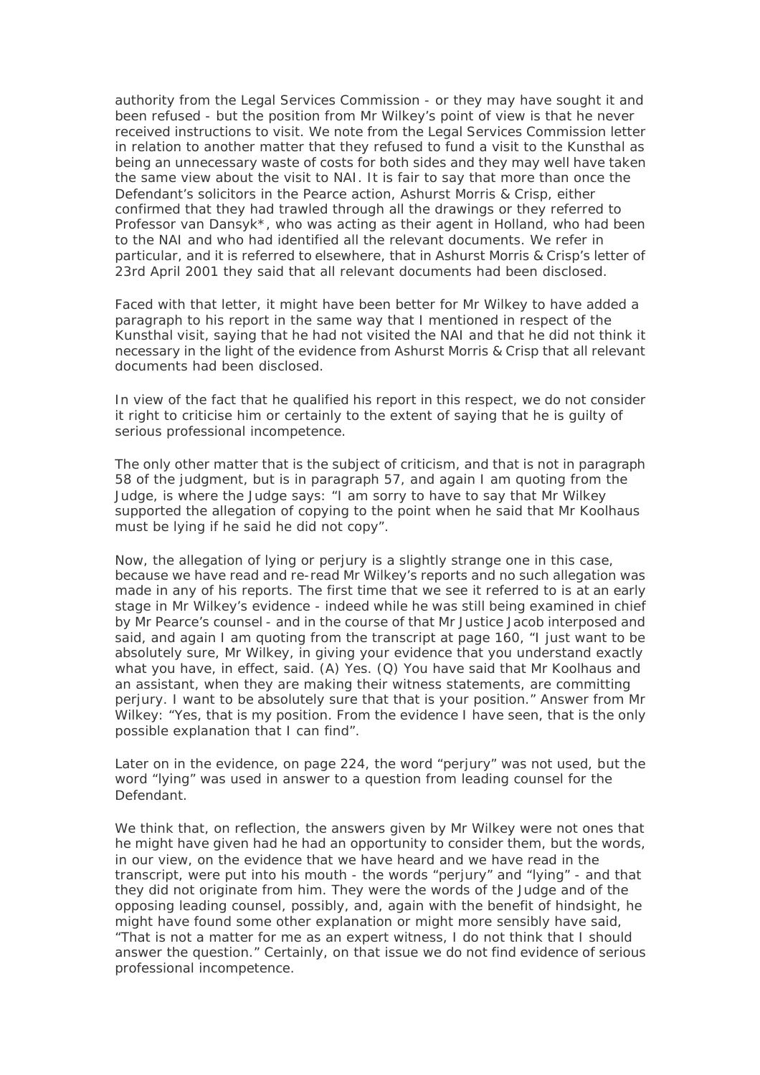authority from the Legal Services Commission - or they may have sought it and been refused - but the position from Mr Wilkey's point of view is that he never received instructions to visit. We note from the Legal Services Commission letter in relation to another matter that they refused to fund a visit to the Kunsthal as being an unnecessary waste of costs for both sides and they may well have taken the same view about the visit to NAI. It is fair to say that more than once the Defendant's solicitors in the Pearce action, Ashurst Morris & Crisp, either confirmed that they had trawled through all the drawings or they referred to Professor van Dansyk\*, who was acting as their agent in Holland, who had been to the NAI and who had identified all the relevant documents. We refer in particular, and it is referred to elsewhere, that in Ashurst Morris & Crisp's letter of 23rd April 2001 they said that all relevant documents had been disclosed.

Faced with that letter, it might have been better for Mr Wilkey to have added a paragraph to his report in the same way that I mentioned in respect of the Kunsthal visit, saying that he had not visited the NAI and that he did not think it necessary in the light of the evidence from Ashurst Morris & Crisp that all relevant documents had been disclosed.

In view of the fact that he qualified his report in this respect, we do not consider it right to criticise him or certainly to the extent of saying that he is guilty of serious professional incompetence.

The only other matter that is the subject of criticism, and that is not in paragraph 58 of the judgment, but is in paragraph 57, and again I am quoting from the Judge, is where the Judge says: "I am sorry to have to say that Mr Wilkey supported the allegation of copying to the point when he said that Mr Koolhaus must be lying if he said he did not copy".

Now, the allegation of lying or perjury is a slightly strange one in this case, because we have read and re-read Mr Wilkey's reports and no such allegation was made in any of his reports. The first time that we see it referred to is at an early stage in Mr Wilkey's evidence - indeed while he was still being examined in chief by Mr Pearce's counsel - and in the course of that Mr Justice Jacob interposed and said, and again I am quoting from the transcript at page 160, "I just want to be absolutely sure, Mr Wilkey, in giving your evidence that you understand exactly what you have, in effect, said. (A) Yes. (Q) You have said that Mr Koolhaus and an assistant, when they are making their witness statements, are committing perjury. I want to be absolutely sure that that is your position." Answer from Mr Wilkey: "Yes, that is my position. From the evidence I have seen, that is the only possible explanation that I can find".

Later on in the evidence, on page 224, the word "perjury" was not used, but the word "lying" was used in answer to a question from leading counsel for the Defendant.

We think that, on reflection, the answers given by Mr Wilkey were not ones that he might have given had he had an opportunity to consider them, but the words, in our view, on the evidence that we have heard and we have read in the transcript, were put into his mouth - the words "perjury" and "lying" - and that they did not originate from him. They were the words of the Judge and of the opposing leading counsel, possibly, and, again with the benefit of hindsight, he might have found some other explanation or might more sensibly have said, "That is not a matter for me as an expert witness, I do not think that I should answer the question." Certainly, on that issue we do not find evidence of serious professional incompetence.